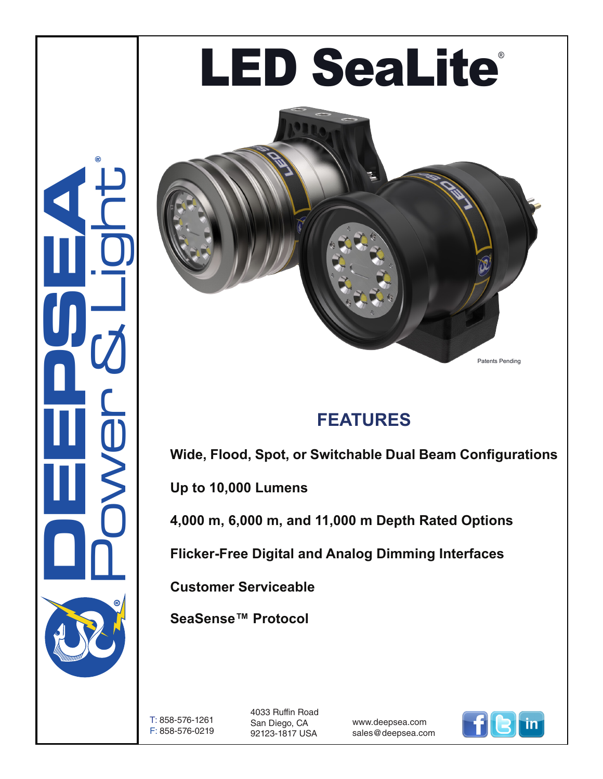# Power & Light **LED SeaLite®**

### **FEATURES**

**Wide, Flood, Spot, or Switchable Dual Beam Configurations**

**Up to 10,000 Lumens**

**4,000 m, 6,000 m, and 11,000 m Depth Rated Options**

**Flicker-Free Digital and Analog Dimming Interfaces**

**Customer Serviceable**

**SeaSense™ Protocol**

T: 858-576-1261 F: 858-576-0219

**CONSUMERING** 

®

4033 Ruffin Road San Diego, CA 92123-1817 USA

www.deepsea.com sales@deepsea.com



Patents Pending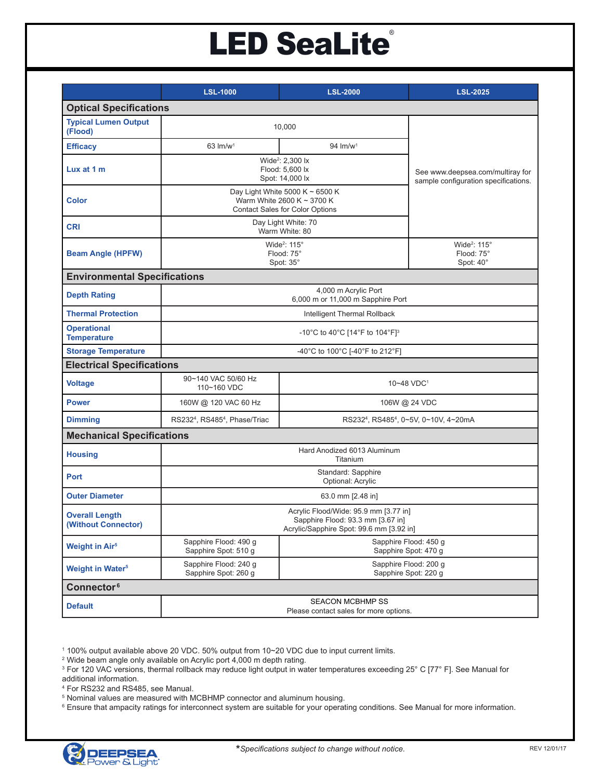## **LED SeaLite®**

|                                              | <b>LSL-1000</b>                                                                                                        | <b>LSL-2000</b>      | <b>LSL-2025</b>                                                          |
|----------------------------------------------|------------------------------------------------------------------------------------------------------------------------|----------------------|--------------------------------------------------------------------------|
| <b>Optical Specifications</b>                |                                                                                                                        |                      |                                                                          |
| <b>Typical Lumen Output</b><br>(Flood)       | 10,000                                                                                                                 |                      |                                                                          |
| <b>Efficacy</b>                              | $63$ lm/w <sup>1</sup>                                                                                                 | 94 lm/w <sup>1</sup> |                                                                          |
| Lux at 1 m                                   | Wide <sup>2</sup> : 2,300 lx<br>Flood: 5,600 lx<br>Spot: 14,000 lx                                                     |                      | See www.deepsea.com/multiray for<br>sample configuration specifications. |
| <b>Color</b>                                 | Day Light White 5000 K $\sim$ 6500 K<br>Warm White 2600 K ~ 3700 K<br><b>Contact Sales for Color Options</b>           |                      |                                                                          |
| <b>CRI</b>                                   | Day Light White: 70<br>Warm White: 80                                                                                  |                      |                                                                          |
| <b>Beam Angle (HPFW)</b>                     | Wide <sup>2</sup> : 115°<br>Flood: 75°<br>Spot: 35°                                                                    |                      | Wide <sup>2</sup> : 115°<br>Flood: 75°<br>Spot: 40°                      |
| <b>Environmental Specifications</b>          |                                                                                                                        |                      |                                                                          |
| <b>Depth Rating</b>                          | 4,000 m Acrylic Port<br>6,000 m or 11,000 m Sapphire Port                                                              |                      |                                                                          |
| <b>Thermal Protection</b>                    | Intelligent Thermal Rollback                                                                                           |                      |                                                                          |
| <b>Operational</b><br><b>Temperature</b>     | -10°C to 40°C [14°F to 104°F] <sup>3</sup>                                                                             |                      |                                                                          |
| <b>Storage Temperature</b>                   | -40°C to 100°C [-40°F to 212°F]                                                                                        |                      |                                                                          |
| <b>Electrical Specifications</b>             |                                                                                                                        |                      |                                                                          |
| <b>Voltage</b>                               | 90~140 VAC 50/60 Hz<br>110~160 VDC                                                                                     | 10~48 VDC1           |                                                                          |
| <b>Power</b>                                 | 160W @ 120 VAC 60 Hz                                                                                                   | 106W @ 24 VDC        |                                                                          |
| <b>Dimming</b>                               | RS232 <sup>4</sup> , RS485 <sup>4</sup> , Phase/Triac<br>RS2324, RS4854, 0~5V, 0~10V, 4~20mA                           |                      |                                                                          |
| <b>Mechanical Specifications</b>             |                                                                                                                        |                      |                                                                          |
| <b>Housing</b>                               | Hard Anodized 6013 Aluminum<br>Titanium                                                                                |                      |                                                                          |
| <b>Port</b>                                  | Standard: Sapphire<br>Optional: Acrylic                                                                                |                      |                                                                          |
| <b>Outer Diameter</b>                        | 63.0 mm [2.48 in]                                                                                                      |                      |                                                                          |
| <b>Overall Length</b><br>(Without Connector) | Acrylic Flood/Wide: 95.9 mm [3.77 in]<br>Sapphire Flood: 93.3 mm [3.67 in]<br>Acrylic/Sapphire Spot: 99.6 mm [3.92 in] |                      |                                                                          |
| <b>Weight in Air<sup>5</sup></b>             | Sapphire Flood: 490 g<br>Sapphire Flood: 450 g<br>Sapphire Spot: 510 g<br>Sapphire Spot: 470 g                         |                      |                                                                          |
| <b>Weight in Water<sup>5</sup></b>           | Sapphire Flood: 240 g<br>Sapphire Flood: 200 q<br>Sapphire Spot: 260 g<br>Sapphire Spot: 220 g                         |                      |                                                                          |
| Connector <sup>6</sup>                       |                                                                                                                        |                      |                                                                          |
| <b>Default</b>                               | <b>SEACON MCBHMP SS</b><br>Please contact sales for more options.                                                      |                      |                                                                          |

1 100% output available above 20 VDC. 50% output from 10~20 VDC due to input current limits.

2 Wide beam angle only available on Acrylic port 4,000 m depth rating.

3 For 120 VAC versions, thermal rollback may reduce light output in water temperatures exceeding 25° C [77° F]. See Manual for

additional information.

4 For RS232 and RS485, see Manual.

5 Nominal values are measured with MCBHMP connector and aluminum housing.

6 Ensure that ampacity ratings for interconnect system are suitable for your operating conditions. See Manual for more information.